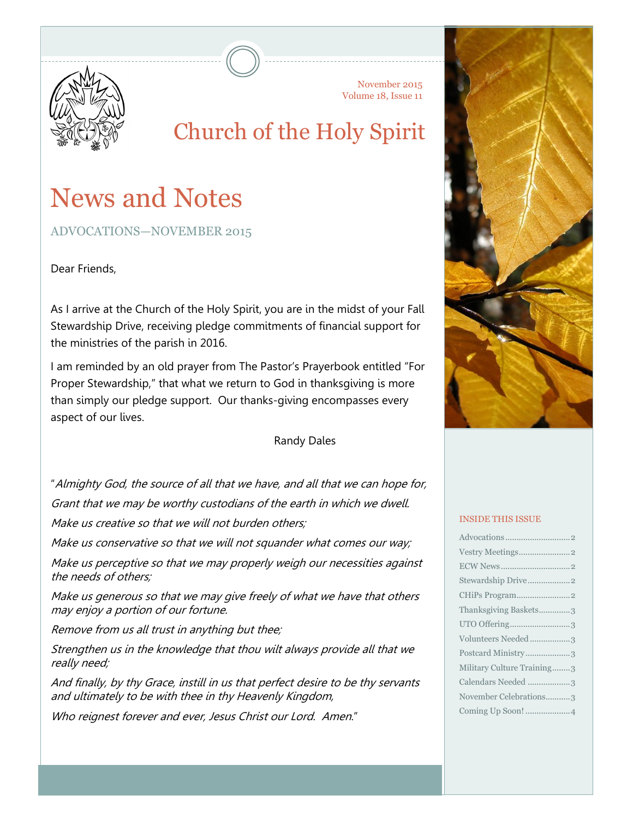

November 2015 Volume 18, Issue 11

# Church of the Holy Spirit

# News and Notes

ADVOCATIONS—NOVEMBER 2015

Dear Friends,

As I arrive at the Church of the Holy Spirit, you are in the midst of your Fall Stewardship Drive, receiving pledge commitments of financial support for the ministries of the parish in 2016.

I am reminded by an old prayer from The Pastor's Prayerbook entitled "For Proper Stewardship," that what we return to God in thanksgiving is more than simply our pledge support. Our thanks-giving encompasses every aspect of our lives.

Randy Dales

"Almighty God, the source of all that we have, and all that we can hope for, Grant that we may be worthy custodians of the earth in which we dwell.

Make us creative so that we will not burden others:

Make us conservative so that we will not squander what comes our way;

Make us perceptive so that we may properly weigh our necessities against the needs of others;

Make us generous so that we may give freely of what we have that others may enjoy a portion of our fortune.

Remove from us all trust in anything but thee;

Strengthen us in the knowledge that thou wilt always provide all that we really need;

And finally, by thy Grace, instill in us that perfect desire to be thy servants and ultimately to be with thee in thy Heavenly Kingdom,

Who reignest forever and ever, Jesus Christ our Lord. Amen."



#### INSIDE THIS ISSUE

| Stewardship Drive2         |  |
|----------------------------|--|
|                            |  |
| Thanksgiving Baskets3      |  |
| UTO Offering3              |  |
| Volunteers Needed3         |  |
| Postcard Ministry3         |  |
| Military Culture Training3 |  |
| Calendars Needed 3         |  |
| November Celebrations3     |  |
| Coming Up Soon! 4          |  |
|                            |  |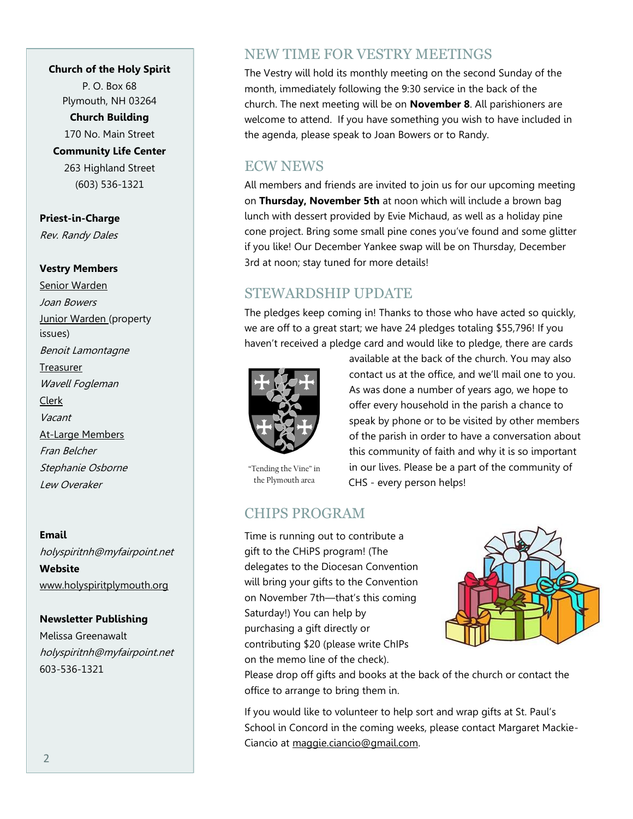#### **Church of the Holy Spirit**

P. O. Box 68 Plymouth, NH 03264

**Church Building**

170 No. Main Street

**Community Life Center** 263 Highland Street (603) 536-1321

**Priest-in-Charge** Rev. Randy Dales

#### **Vestry Members**

Senior Warden Joan Bowers **Junior Warden** (property issues) Benoit Lamontagne Treasurer Wavell Fogleman Clerk Vacant At-Large Members Fran Belcher Stephanie Osborne Lew Overaker

**Email** holyspiritnh@myfairpoint.net **Website** www.holyspiritplymouth.org

#### **Newsletter Publishing**

Melissa Greenawalt holyspiritnh@myfairpoint.net 603-536-1321

## NEW TIME FOR VESTRY MEETINGS

The Vestry will hold its monthly meeting on the second Sunday of the month, immediately following the 9:30 service in the back of the church. The next meeting will be on **November 8**. All parishioners are welcome to attend. If you have something you wish to have included in the agenda, please speak to Joan Bowers or to Randy.

## ECW NEWS

All members and friends are invited to join us for our upcoming meeting on **Thursday, November 5th** at noon which will include a brown bag lunch with dessert provided by Evie Michaud, as well as a holiday pine cone project. Bring some small pine cones you've found and some glitter if you like! Our December Yankee swap will be on Thursday, December 3rd at noon; stay tuned for more details!

## STEWARDSHIP UPDATE

The pledges keep coming in! Thanks to those who have acted so quickly, we are off to a great start; we have 24 pledges totaling \$55,796! If you haven't received a pledge card and would like to pledge, there are cards



"Tending the Vine" in the Plymouth area

available at the back of the church. You may also contact us at the office, and we'll mail one to you. As was done a number of years ago, we hope to offer every household in the parish a chance to speak by phone or to be visited by other members of the parish in order to have a conversation about this community of faith and why it is so important in our lives. Please be a part of the community of CHS - every person helps!

# CHIPS PROGRAM

Time is running out to contribute a gift to the CHiPS program! (The delegates to the Diocesan Convention will bring your gifts to the Convention on November 7th—that's this coming Saturday!) You can help by purchasing a gift directly or contributing \$20 (please write ChIPs on the memo line of the check).



Please drop off gifts and books at the back of the church or contact the office to arrange to bring them in.

If you would like to volunteer to help sort and wrap gifts at St. Paul's School in Concord in the coming weeks, please contact Margaret Mackie-Ciancio at maggie.ciancio@gmail.com.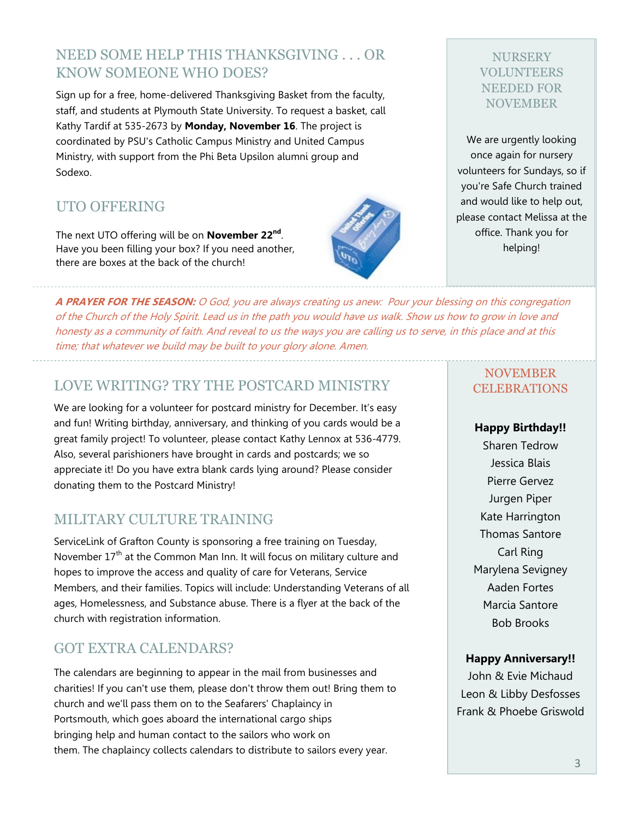# NEED SOME HELP THIS THANKSGIVING . . . OR KNOW SOMEONE WHO DOES?

Sign up for a free, home-delivered Thanksgiving Basket from the faculty, staff, and students at Plymouth State University. To request a basket, call Kathy Tardif at 535-2673 by **Monday, November 16**. The project is coordinated by PSU's Catholic Campus Ministry and United Campus Ministry, with support from the Phi Beta Upsilon alumni group and Sodexo.

# UTO OFFERING

The next UTO offering will be on **November 22nd** . Have you been filling your box? If you need another, there are boxes at the back of the church!

**A PRAYER FOR THE SEASON:** O God, you are always creating us anew: Pour your blessing on this congregation of the Church of the Holy Spirit. Lead us in the path you would have us walk. Show us how to grow in love and honesty as a community of faith. And reveal to us the ways you are calling us to serve, in this place and at this time; that whatever we build may be built to your glory alone. Amen.

# LOVE WRITING? TRY THE POSTCARD MINISTRY

We are looking for a volunteer for postcard ministry for December. It's easy and fun! Writing birthday, anniversary, and thinking of you cards would be a great family project! To volunteer, please contact Kathy Lennox at 536-4779. Also, several parishioners have brought in cards and postcards; we so appreciate it! Do you have extra blank cards lying around? Please consider donating them to the Postcard Ministry!

# MILITARY CULTURE TRAINING

ServiceLink of Grafton County is sponsoring a free training on Tuesday, November  $17<sup>th</sup>$  at the Common Man Inn. It will focus on military culture and hopes to improve the access and quality of care for Veterans, Service Members, and their families. Topics will include: Understanding Veterans of all ages, Homelessness, and Substance abuse. There is a flyer at the back of the church with registration information.

# GOT EXTRA CALENDARS?

The calendars are beginning to appear in the mail from businesses and charities! If you can't use them, please don't throw them out! Bring them to church and we'll pass them on to the Seafarers' Chaplaincy in Portsmouth, which goes aboard the international cargo ships bringing help and human contact to the sailors who work on them. The chaplaincy collects calendars to distribute to sailors every year.

#### NOVEMBER **CELEBRATIONS**

**Happy Birthday!!**

Sharen Tedrow Jessica Blais Pierre Gervez Jurgen Piper Kate Harrington Thomas Santore Carl Ring Marylena Sevigney Aaden Fortes Marcia Santore Bob Brooks

#### **Happy Anniversary!!**

John & Evie Michaud Leon & Libby Desfosses Frank & Phoebe Griswold



NURSERY VOLUNTEERS NEEDED FOR NOVEMBER

We are urgently looking once again for nursery volunteers for Sundays, so if you're Safe Church trained and would like to help out, please contact Melissa at the office. Thank you for helping!